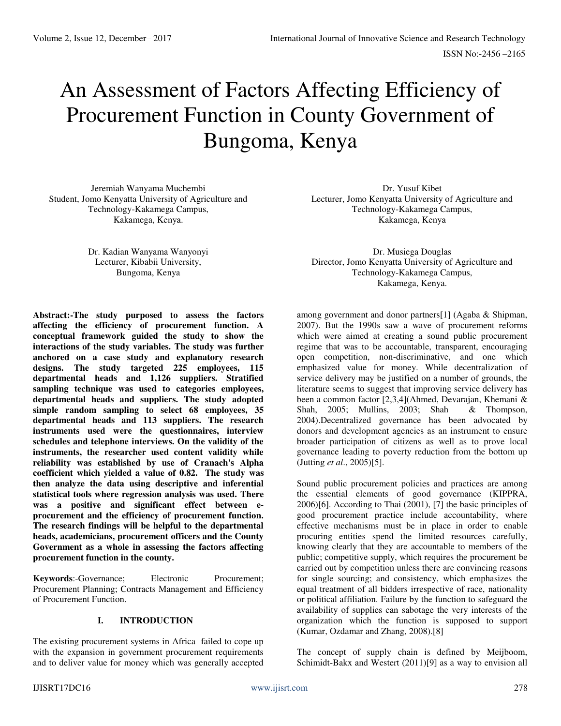# An Assessment of Factors Affecting Efficiency of Procurement Function in County Government of Bungoma, Kenya

Jeremiah Wanyama Muchembi Student, Jomo Kenyatta University of Agriculture and Technology-Kakamega Campus, Kakamega, Kenya.

> Dr. Kadian Wanyama Wanyonyi Lecturer, Kibabii University, Bungoma, Kenya

**Abstract:-The study purposed to assess the factors affecting the efficiency of procurement function. A conceptual framework guided the study to show the interactions of the study variables. The study was further anchored on a case study and explanatory research designs. The study targeted 225 employees, 115 departmental heads and 1,126 suppliers. Stratified sampling technique was used to categories employees, departmental heads and suppliers. The study adopted simple random sampling to select 68 employees, 35 departmental heads and 113 suppliers. The research instruments used were the questionnaires, interview schedules and telephone interviews. On the validity of the instruments, the researcher used content validity while reliability was established by use of Cranach's Alpha coefficient which yielded a value of 0.82. The study was then analyze the data using descriptive and inferential statistical tools where regression analysis was used. There was a positive and significant effect between eprocurement and the efficiency of procurement function. The research findings will be helpful to the departmental heads, academicians, procurement officers and the County Government as a whole in assessing the factors affecting procurement function in the county.** 

**Keywords:**-Governance; Electronic Procurement; Procurement Planning; Contracts Management and Efficiency of Procurement Function.

## **I. INTRODUCTION**

The existing procurement systems in Africa failed to cope up with the expansion in government procurement requirements and to deliver value for money which was generally accepted

Dr. Yusuf Kibet Lecturer, Jomo Kenyatta University of Agriculture and Technology-Kakamega Campus, Kakamega, Kenya

Dr. Musiega Douglas Director, Jomo Kenyatta University of Agriculture and Technology-Kakamega Campus, Kakamega, Kenya.

among government and donor partners[1] (Agaba & Shipman, 2007). But the 1990s saw a wave of procurement reforms which were aimed at creating a sound public procurement regime that was to be accountable, transparent, encouraging open competition, non-discriminative, and one which emphasized value for money. While decentralization of service delivery may be justified on a number of grounds, the literature seems to suggest that improving service delivery has been a common factor [2,3,4](Ahmed, Devarajan, Khemani & Shah. 2005: Mullins, 2003: Shah & Thompson, Shah, 2005; Mullins, 2003; Shah 2004).Decentralized governance has been advocated by donors and development agencies as an instrument to ensure broader participation of citizens as well as to prove local governance leading to poverty reduction from the bottom up (Jutting *et al*., 2005)[5].

Sound public procurement policies and practices are among the essential elements of good governance (KIPPRA, 2006)[6]. According to Thai (2001), [7] the basic principles of good procurement practice include accountability, where effective mechanisms must be in place in order to enable procuring entities spend the limited resources carefully, knowing clearly that they are accountable to members of the public; competitive supply, which requires the procurement be carried out by competition unless there are convincing reasons for single sourcing; and consistency, which emphasizes the equal treatment of all bidders irrespective of race, nationality or political affiliation. Failure by the function to safeguard the availability of supplies can sabotage the very interests of the organization which the function is supposed to support (Kumar, Ozdamar and Zhang, 2008).[8]

The concept of supply chain is defined by Meijboom, Schimidt-Bakx and Westert (2011)[9] as a way to envision all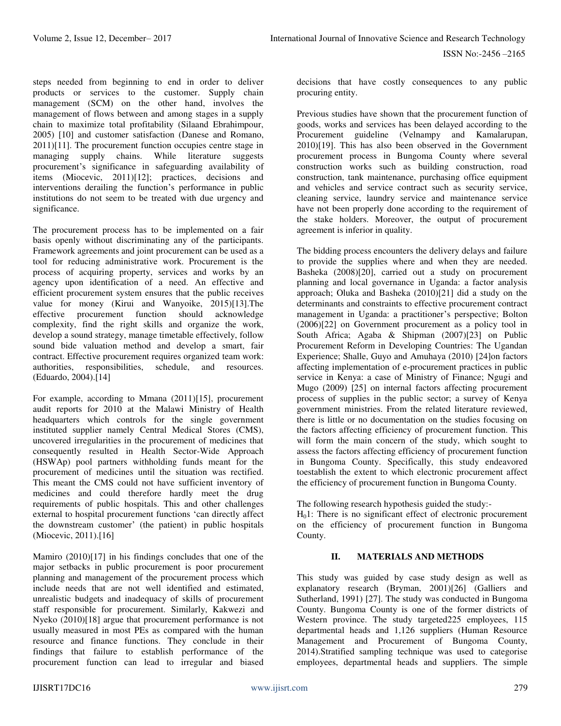steps needed from beginning to end in order to deliver products or services to the customer. Supply chain management (SCM) on the other hand, involves the management of flows between and among stages in a supply chain to maximize total profitability (Silaand Ebrahimpour, 2005) [10] and customer satisfaction (Danese and Romano, 2011)[11]. The procurement function occupies centre stage in managing supply chains. While literature suggests procurement's significance in safeguarding availability of items (Miocevic, 2011)[12]; practices, decisions and interventions derailing the function's performance in public institutions do not seem to be treated with due urgency and significance.

The procurement process has to be implemented on a fair basis openly without discriminating any of the participants. Framework agreements and joint procurement can be used as a tool for reducing administrative work. Procurement is the process of acquiring property, services and works by an agency upon identification of a need. An effective and efficient procurement system ensures that the public receives value for money (Kirui and Wanyoike, 2015)[13].The effective procurement function should acknowledge complexity, find the right skills and organize the work, develop a sound strategy, manage timetable effectively, follow sound bide valuation method and develop a smart, fair contract. Effective procurement requires organized team work: authorities, responsibilities, schedule, and resources. (Eduardo, 2004).[14]

For example, according to Mmana (2011)[15], procurement audit reports for 2010 at the Malawi Ministry of Health headquarters which controls for the single government instituted supplier namely Central Medical Stores (CMS), uncovered irregularities in the procurement of medicines that consequently resulted in Health Sector-Wide Approach (HSWAp) pool partners withholding funds meant for the procurement of medicines until the situation was rectified. This meant the CMS could not have sufficient inventory of medicines and could therefore hardly meet the drug requirements of public hospitals. This and other challenges external to hospital procurement functions 'can directly affect the downstream customer' (the patient) in public hospitals (Miocevic, 2011).[16]

Mamiro (2010)[17] in his findings concludes that one of the major setbacks in public procurement is poor procurement planning and management of the procurement process which include needs that are not well identified and estimated, unrealistic budgets and inadequacy of skills of procurement staff responsible for procurement. Similarly, Kakwezi and Nyeko (2010)[18] argue that procurement performance is not usually measured in most PEs as compared with the human resource and finance functions. They conclude in their findings that failure to establish performance of the procurement function can lead to irregular and biased

Previous studies have shown that the procurement function of goods, works and services has been delayed according to the Procurement guideline (Velnampy and Kamalarupan, 2010)[19]. This has also been observed in the Government procurement process in Bungoma County where several construction works such as building construction, road construction, tank maintenance, purchasing office equipment and vehicles and service contract such as security service, cleaning service, laundry service and maintenance service have not been properly done according to the requirement of the stake holders. Moreover, the output of procurement agreement is inferior in quality.

The bidding process encounters the delivery delays and failure to provide the supplies where and when they are needed. Basheka (2008)[20], carried out a study on procurement planning and local governance in Uganda: a factor analysis approach; Oluka and Basheka (2010)[21] did a study on the determinants and constraints to effective procurement contract management in Uganda: a practitioner's perspective; Bolton (2006)[22] on Government procurement as a policy tool in South Africa; Agaba & Shipman (2007)[23] on Public Procurement Reform in Developing Countries: The Ugandan Experience; Shalle, Guyo and Amuhaya (2010) [24]on factors affecting implementation of e-procurement practices in public service in Kenya: a case of Ministry of Finance; Ngugi and Mugo (2009) [25] on internal factors affecting procurement process of supplies in the public sector; a survey of Kenya government ministries. From the related literature reviewed, there is little or no documentation on the studies focusing on the factors affecting efficiency of procurement function. This will form the main concern of the study, which sought to assess the factors affecting efficiency of procurement function in Bungoma County. Specifically, this study endeavored toestablish the extent to which electronic procurement affect the efficiency of procurement function in Bungoma County.

The following research hypothesis guided the study:-

H01: There is no significant effect of electronic procurement on the efficiency of procurement function in Bungoma County.

## **II. MATERIALS AND METHODS**

This study was guided by case study design as well as explanatory research (Bryman, 2001)[26] (Galliers and Sutherland, 1991) [27]. The study was conducted in Bungoma County. Bungoma County is one of the former districts of Western province. The study targeted225 employees, 115 departmental heads and 1,126 suppliers (Human Resource Management and Procurement of Bungoma County, 2014).Stratified sampling technique was used to categorise employees, departmental heads and suppliers. The simple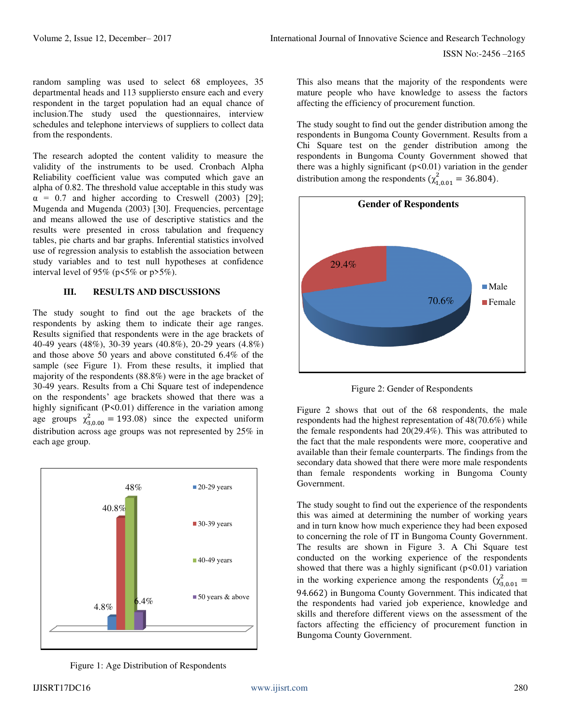random sampling was used to select 68 employees, 35 departmental heads and 113 suppliersto ensure each and every respondent in the target population had an equal chance of inclusion.The study used the questionnaires, interview schedules and telephone interviews of suppliers to collect data from the respondents.

The research adopted the content validity to measure the validity of the instruments to be used. Cronbach Alpha Reliability coefficient value was computed which gave an alpha of 0.82. The threshold value acceptable in this study was  $\alpha$  = 0.7 and higher according to Creswell (2003) [29]; Mugenda and Mugenda (2003) [30]. Frequencies, percentage and means allowed the use of descriptive statistics and the results were presented in cross tabulation and frequency tables, pie charts and bar graphs. Inferential statistics involved use of regression analysis to establish the association between study variables and to test null hypotheses at confidence interval level of 95% (p<5% or p>5%).

#### **III. RESULTS AND DISCUSSIONS**

The study sought to find out the age brackets of the respondents by asking them to indicate their age ranges. Results signified that respondents were in the age brackets of 40-49 years (48%), 30-39 years (40.8%), 20-29 years (4.8%) and those above 50 years and above constituted 6.4% of the sample (see Figure 1). From these results, it implied that majority of the respondents (88.8%) were in the age bracket of 30-49 years. Results from a Chi Square test of independence on the respondents' age brackets showed that there was a highly significant (P<0.01) difference in the variation among age groups  $\chi_{3,0.00}^2 = 193.08$ ) since the expected uniform distribution across age groups was not represented by 25% in each age group.



Figure 1: Age Distribution of Respondents

This also means that the majority of the respondents were mature people who have knowledge to assess the factors affecting the efficiency of procurement function.

The study sought to find out the gender distribution among the respondents in Bungoma County Government. Results from a Chi Square test on the gender distribution among the respondents in Bungoma County Government showed that there was a highly significant  $(p<0.01)$  variation in the gender distribution among the respondents  $(\chi^2_{1,0.01} = 36.804)$ .



Figure 2: Gender of Respondents

Figure 2 shows that out of the 68 respondents, the male respondents had the highest representation of 48(70.6%) while the female respondents had 20(29.4%). This was attributed to the fact that the male respondents were more, cooperative and available than their female counterparts. The findings from the secondary data showed that there were more male respondents than female respondents working in Bungoma County Government.

The study sought to find out the experience of the respondents this was aimed at determining the number of working years and in turn know how much experience they had been exposed to concerning the role of IT in Bungoma County Government. The results are shown in Figure 3. A Chi Square test conducted on the working experience of the respondents showed that there was a highly significant  $(p<0.01)$  variation in the working experience among the respondents  $(\chi^2_{3,0.01})$ 94.662) in Bungoma County Government. This indicated that the respondents had varied job experience, knowledge and skills and therefore different views on the assessment of the factors affecting the efficiency of procurement function in Bungoma County Government.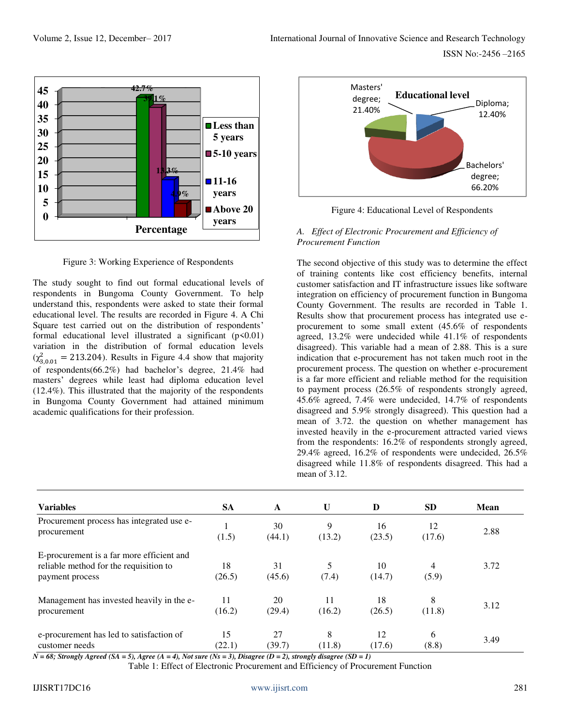

Figure 3: Working Experience of Respondents

The study sought to find out formal educational levels of respondents in Bungoma County Government. To help understand this, respondents were asked to state their formal educational level. The results are recorded in Figure 4. A Chi Square test carried out on the distribution of respondents' formal educational level illustrated a significant  $(p<0.01)$ variation in the distribution of formal education levels  $(\chi_{3,0.01}^2 = 213.204)$ . Results in Figure 4.4 show that majority of respondents(66.2%) had bachelor's degree, 21.4% had masters' degrees while least had diploma education level (12.4%). This illustrated that the majority of the respondents in Bungoma County Government had attained minimum academic qualifications for their profession.



Figure 4: Educational Level of Respondents

## *A. Effect of Electronic Procurement and Efficiency of Procurement Function*

The second objective of this study was to determine the effect of training contents like cost efficiency benefits, internal customer satisfaction and IT infrastructure issues like software integration on efficiency of procurement function in Bungoma County Government. The results are recorded in Table 1. Results show that procurement process has integrated use eprocurement to some small extent (45.6% of respondents agreed, 13.2% were undecided while 41.1% of respondents disagreed). This variable had a mean of 2.88. This is a sure indication that e-procurement has not taken much root in the procurement process. The question on whether e-procurement is a far more efficient and reliable method for the requisition to payment process (26.5% of respondents strongly agreed, 45.6% agreed, 7.4% were undecided, 14.7% of respondents disagreed and 5.9% strongly disagreed). This question had a mean of 3.72. the question on whether management has invested heavily in the e-procurement attracted varied views from the respondents: 16.2% of respondents strongly agreed, 29.4% agreed, 16.2% of respondents were undecided, 26.5% disagreed while 11.8% of respondents disagreed. This had a mean of 3.12.

| <b>Variables</b>                                                                                       | <b>SA</b>    | A            | U            | D            | <b>SD</b>    | <b>Mean</b> |
|--------------------------------------------------------------------------------------------------------|--------------|--------------|--------------|--------------|--------------|-------------|
| Procurement process has integrated use e-<br>procurement                                               | (1.5)        | 30<br>(44.1) | 9<br>(13.2)  | 16<br>(23.5) | 12<br>(17.6) | 2.88        |
| E-procurement is a far more efficient and<br>reliable method for the requisition to<br>payment process | 18<br>(26.5) | 31<br>(45.6) | 5<br>(7.4)   | 10<br>(14.7) | 4<br>(5.9)   | 3.72        |
| Management has invested heavily in the e-<br>procurement                                               | 11<br>(16.2) | 20<br>(29.4) | 11<br>(16.2) | 18<br>(26.5) | 8<br>(11.8)  | 3.12        |
| e-procurement has led to satisfaction of<br>customer needs                                             | 15<br>(22.1) | 27<br>(39.7) | 8<br>(11.8)  | 12<br>(17.6) | 6<br>(8.8)   | 3.49        |

 $N = 68$ ; Strongly Agreed (SA = 5), Agree (A = 4), Not sure (Ns = 3), Disagree (D = 2), strongly disagree (SD = 1)

Table 1: Effect of Electronic Procurement and Efficiency of Procurement Function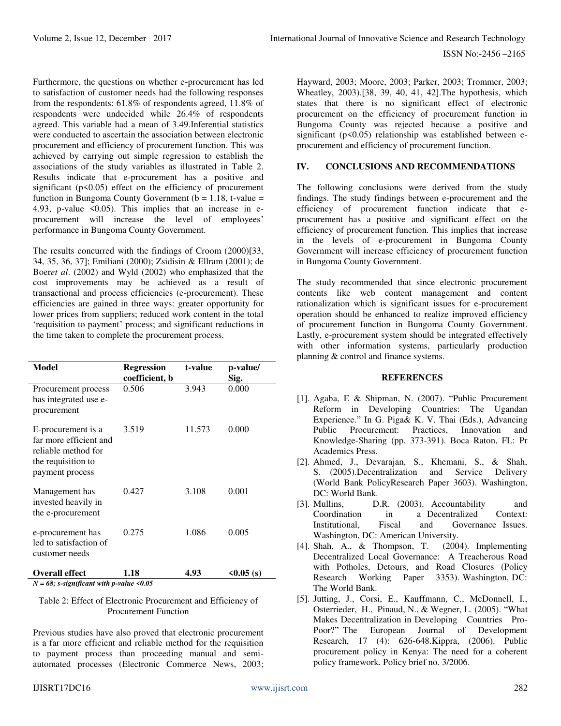Furthermore, the questions on whether e-procurement has led to satisfaction of customer needs had the following responses from the respondents: 61.8% of respondents agreed, 11.8% of respondents were undecided while 26.4% of respondents agreed. This variable had a mean of 3.49.Inferential statistics were conducted to ascertain the association between electronic procurement and efficiency of procurement function. This was achieved by carrying out simple regression to establish the associations of the study variables as illustrated in Table 2. Results indicate that e-procurement has a positive and significant  $(p<0.05)$  effect on the efficiency of procurement function in Bungoma County Government ( $\bar{b} = 1.18$ , t-value = 4.93, p-value  $\leq 0.05$ ). This implies that an increase in eprocurement will increase the level of employees' performance in Bungoma County Government.

The results concurred with the findings of Croom (2000)[33, 34, 35, 36, 37]; Emiliani (2000); Zsidisin & Ellram (2001); de Boer*et al*. (2002) and Wyld (2002) who emphasized that the cost improvements may be achieved as a result of transactional and process efficiencies (e-procurement). These efficiencies are gained in three ways: greater opportunity for lower prices from suppliers; reduced work content in the total 'requisition to payment' process; and significant reductions in the time taken to complete the procurement process.

| Model                                                                                                        | <b>Regression</b><br>coefficient, b | t-value | p-value/<br>Sig. |
|--------------------------------------------------------------------------------------------------------------|-------------------------------------|---------|------------------|
| Procurement process<br>has integrated use e-<br>procurement                                                  | 0.506                               | 3.943   | 0.000            |
| E-procurement is a<br>far more efficient and<br>reliable method for<br>the requisition to<br>payment process | 3.519                               | 11.573  | 0.000            |
| Management has<br>invested heavily in<br>the e-procurement                                                   | 0.427                               | 3.108   | 0.001            |
| e-procurement has<br>led to satisfaction of<br>customer needs                                                | 0.275                               | 1.086   | 0.005            |
| <b>Overall effect</b><br>$\cdot$ $\cdot$                                                                     | 1.18<br>$\sim$ $\sim$ $\sim$        | 4.93    | $0.05$ (s)       |

*N = 68; s-significant with p-value <0.05* 

Table 2: Effect of Electronic Procurement and Efficiency of Procurement Function

Previous studies have also proved that electronic procurement is a far more efficient and reliable method for the requisition to payment process than proceeding manual and semiautomated processes (Electronic Commerce News, 2003; Hayward, 2003; Moore, 2003; Parker, 2003; Trommer, 2003; Wheatley, 2003).[38, 39, 40, 41, 42].The hypothesis, which states that there is no significant effect of electronic procurement on the efficiency of procurement function in Bungoma County was rejected because a positive and significant (p<0.05) relationship was established between eprocurement and efficiency of procurement function.

## **IV. CONCLUSIONS AND RECOMMENDATIONS**

The following conclusions were derived from the study findings. The study findings between e-procurement and the efficiency of procurement function indicate that eprocurement has a positive and significant effect on the efficiency of procurement function. This implies that increase in the levels of e-procurement in Bungoma County Government will increase efficiency of procurement function in Bungoma County Government.

The study recommended that since electronic procurement contents like web content management and content rationalization which is significant issues for e-procurement operation should be enhanced to realize improved efficiency of procurement function in Bungoma County Government. Lastly, e-procurement system should be integrated effectively with other information systems, particularly production planning & control and finance systems.

#### **REFERENCES**

- [1]. Agaba, E & Shipman, N. (2007). "Public Procurement Reform in Developing Countries: The Ugandan Experience." In G. Piga& K. V. Thai (Eds.), Advancing Public Procurement: Practices, Innovation and Knowledge-Sharing (pp. 373-391). Boca Raton, FL: Pr Academics Press.
- [2]. Ahmed, J., Devarajan, S., Khemani, S., & Shah, S. (2005).Decentralization and Service Delivery (World Bank PolicyResearch Paper 3603). Washington, DC: World Bank.<br>[3]. Mullins. D
- D.R. (2003). Accountability and Coordination in a Decentralized Context: Institutional, Fiscal and Governance Issues. Washington, DC: American University.
- [4]. Shah, A., & Thompson, T. (2004). Implementing Decentralized Local Governance: A Treacherous Road with Potholes, Detours, and Road Closures (Policy Research Working Paper 3353). Washington, DC: The World Bank.
- [5]. Jutting, J., Corsi, E., Kauffmann, C., McDonnell, I., Osterrieder, H., Pinaud, N., & Wegner, L. (2005). "What Makes Decentralization in Developing Countries Pro-Poor?" The European Journal of Development Research, 17 (4): 626-648.Kippra, (2006). Public procurement policy in Kenya: The need for a coherent policy framework. Policy brief no. 3/2006.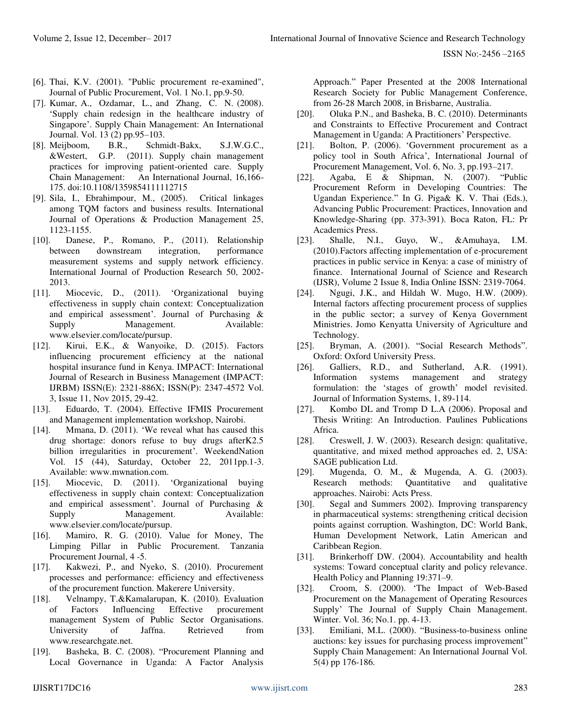- [6]. Thai, K.V. (2001). "Public procurement re-examined", Journal of Public Procurement, Vol. 1 No.1, pp.9-50.
- [7]. Kumar, A., Ozdamar, L., and Zhang, C. N. (2008). 'Supply chain redesign in the healthcare industry of Singapore'. Supply Chain Management: An International Journal. Vol. 13 (2) pp.95–103.
- [8]. Meijboom, B.R., Schmidt-Bakx, S.J.W.G.C., &Westert, G.P. (2011). Supply chain management practices for improving patient-oriented care. Supply Chain Management: An International Journal, 16,166- 175. doi:10.1108/1359854111112715
- [9]. Sila, I., Ebrahimpour, M., (2005). Critical linkages among TQM factors and business results. International Journal of Operations & Production Management 25, 1123-1155.
- [10]. Danese, P., Romano, P., (2011). Relationship between downstream integration, performance measurement systems and supply network efficiency. International Journal of Production Research 50, 2002- 2013.
- [11]. Miocevic, D., (2011). 'Organizational buying effectiveness in supply chain context: Conceptualization and empirical assessment'. Journal of Purchasing & Supply Management. Available: [www.elsevier.com/locate/pursup.](http://www.elsevier.com/locate/pursup)
- [12]. Kirui, E.K., & Wanyoike, D. (2015). Factors influencing procurement efficiency at the national hospital insurance fund in Kenya. IMPACT: International Journal of Research in Business Management (IMPACT: IJRBM) ISSN(E): 2321-886X; ISSN(P): 2347-4572 Vol. 3, Issue 11, Nov 2015, 29-42.
- [13]. Eduardo, T. (2004). Effective IFMIS Procurement and Management implementation workshop, Nairobi.
- [14]. Mmana, D. (2011). 'We reveal what has caused this drug shortage: donors refuse to buy drugs afterK2.5 billion irregularities in procurement'. WeekendNation Vol. 15 (44), Saturday, October 22, 2011pp.1-3. Available: www.mwnation.com.
- [15]. Miocevic, D. (2011). 'Organizational buying effectiveness in supply chain context: Conceptualization and empirical assessment'. Journal of Purchasing & Supply Management. Available: [www.elsevier.com/locate/pursup.](http://www.elsevier.com/locate/pursup)
- [16]. Mamiro, R. G. (2010). Value for Money, The Limping Pillar in Public Procurement. Tanzania Procurement Journal, 4 -5.
- [17]. Kakwezi, P., and Nyeko, S. (2010). Procurement processes and performance: efficiency and effectiveness of the procurement function. Makerere University.
- [18]. Velnampy, T.&Kamalarupan, K. (2010). Evaluation of Factors Influencing Effective procurement management System of Public Sector Organisations.<br>
University of Jaffna. Retrieved from University of Jaffna. Retrieved from [www.researchgate.net.](http://www.researchgate.net/)
- [19]. Basheka, B. C. (2008). "Procurement Planning and Local Governance in Uganda: A Factor Analysis

Approach." Paper Presented at the 2008 International Research Society for Public Management Conference, from 26-28 March 2008, in Brisbarne, Australia.

- [20]. Oluka P.N., and Basheka, B. C. (2010). Determinants and Constraints to Effective Procurement and Contract Management in Uganda: A Practitioners' Perspective.
- [21]. Bolton, P. (2006). 'Government procurement as a policy tool in South Africa', International Journal of Procurement Management, Vol. 6, No. 3, pp.193–217.
- [22]. Agaba, E & Shipman, N. (2007). "Public Procurement Reform in Developing Countries: The Ugandan Experience." In G. Piga& K. V. Thai (Eds.), Advancing Public Procurement: Practices, Innovation and Knowledge-Sharing (pp. 373-391). Boca Raton, FL: Pr Academics Press.
- [23]. Shalle, N.I., Guyo, W., &Amuhaya, I.M. (2010).Factors affecting implementation of e-procurement practices in public service in Kenya: a case of ministry of finance. International Journal of Science and Research (IJSR), Volume 2 Issue 8, India Online ISSN: 2319-7064.
- [24]. Ngugi, J.K., and Hildah W. Mugo, H.W. (2009). Internal factors affecting procurement process of supplies in the public sector; a survey of Kenya Government Ministries. Jomo Kenyatta University of Agriculture and Technology.
- [25]. Bryman, A. (2001). "Social Research Methods". Oxford: Oxford University Press.
- [26]. Galliers, R.D., and Sutherland, A.R. (1991). Information systems management and strategy formulation: the 'stages of growth' model revisited. Journal of Information Systems, 1, 89-114.
- [27]. Kombo DL and Tromp D L.A (2006). Proposal and Thesis Writing: An Introduction. Paulines Publications Africa.
- [28]. Creswell, J. W. (2003). Research design: qualitative, quantitative, and mixed method approaches ed. 2, USA: SAGE publication Ltd.
- [29]. Mugenda, O. M., & Mugenda, A. G. (2003). Research methods: Quantitative and qualitative approaches. Nairobi: Acts Press.
- [30]. Segal and Summers 2002). Improving transparency in pharmaceutical systems: strengthening critical decision points against corruption. Washington, DC: World Bank, Human Development Network, Latin American and Caribbean Region.
- [31]. Brinkerhoff DW. (2004). Accountability and health systems: Toward conceptual clarity and policy relevance. Health Policy and Planning 19:371–9.
- [32]. Croom, S. (2000). 'The Impact of Web-Based Procurement on the Management of Operating Resources Supply' The Journal of Supply Chain Management. Winter. Vol. 36; No.1. pp. 4-13.
- [33]. Emiliani, M.L. (2000). "Business-to-business online auctions: key issues for purchasing process improvement" Supply Chain Management: An International Journal Vol. 5(4) pp 176-186.